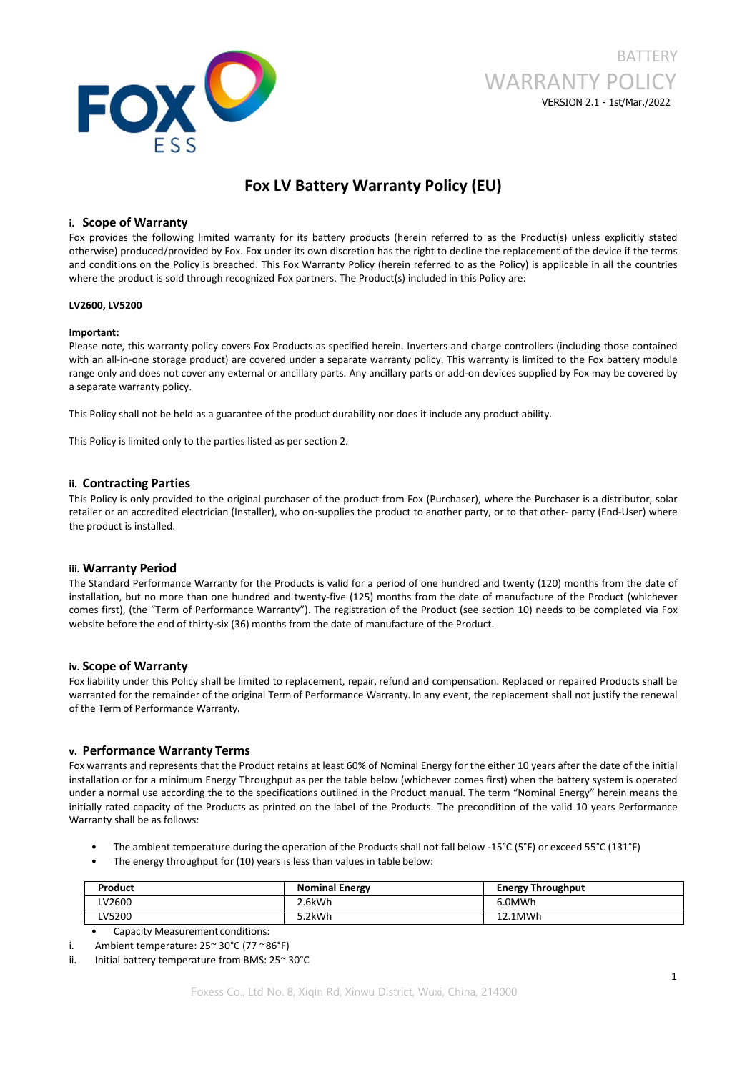

# **BATTERY** WARRANTY POLICY VERSION 2.1 - 1st/Mar./2022

## **Fox LV Battery Warranty Policy (EU)**

## **i. Scope of Warranty**

Fox provides the following limited warranty for its battery products (herein referred to as the Product(s) unless explicitly stated otherwise) produced/provided by Fox. Fox under its own discretion has the right to decline the replacement of the device ifthe terms and conditions on the Policy is breached. This Fox Warranty Policy (herein referred to as the Policy) is applicable in all the countries where the product is sold through recognized Fox partners. The Product(s) included in this Policy are:

#### **LV2600, LV5200**

#### **Important:**

Please note, this warranty policy covers Fox Products as specified herein. Inverters and charge controllers (including those contained with an all-in-one storage product) are covered under a separate warranty policy. This warranty is limited to the Fox battery module range only and does not cover any external or ancillary parts. Any ancillary parts or add-on devices supplied by Fox may be covered by a separate warranty policy.

This Policy shall not be held as a guarantee of the product durability nor does it include any product ability.

This Policy is limited only to the parties listed as per section 2.

## **ii. Contracting Parties**

This Policy is only provided to the original purchaser of the product from Fox (Purchaser), where the Purchaser is a distributor, solar retailer or an accredited electrician (Installer), who on-supplies the product to another party, or to that other- party (End-User) where the product is installed.

## **iii. Warranty Period**

The Standard Performance Warranty for the Products is valid for a period of one hundred and twenty (120) months from the date of installation, but no more than one hundred and twenty-five (125) months from the date of manufacture of the Product (whichever comes first), (the "Term of Performance Warranty"). The registration of the Product (see section 10) needs to be completed via Fox website before the end of thirty-six (36) months from the date of manufacture of the Product.

## **iv. Scope of Warranty**

Fox liability under this Policy shall be limited to replacement, repair, refund and compensation. Replaced or repaired Products shall be warranted for the remainder of the original Term of Performance Warranty. In any event, the replacement shall not justify the renewal of the Term of Performance Warranty.

## **v. Performance Warranty Terms**

Fox warrants and represents that the Product retains atleast 60% of Nominal Energy for the either 10 years after the date of the initial installation or for a minimum Energy Throughput as per the table below (whichever comes first) when the battery system is operated under a normal use according the to the specifications outlined in the Product manual. The term "Nominal Energy" herein means the initially rated capacity of the Products as printed on the label of the Products. The precondition of the valid 10 years Performance Warranty shall be as follows:

- The ambient temperature during the operation of the Products shall not fall below -15°C (5°F) or exceed 55°C (131°F)
- The energy throughput for (10) years is less than values in table below:

| Product | <b>Nominal Energy</b> | <b>Energy Throughput</b> |
|---------|-----------------------|--------------------------|
| LV2600  | 2.6kWh                | 6.0MWh                   |
| LV5200  | 5.2kWh                | 12.1MWh                  |

• Capacity Measurement conditions:

ii. Initial battery temperature from BMS: 25~ 30°C

i. Ambient temperature: 25~ 30°C (77 ~86°F)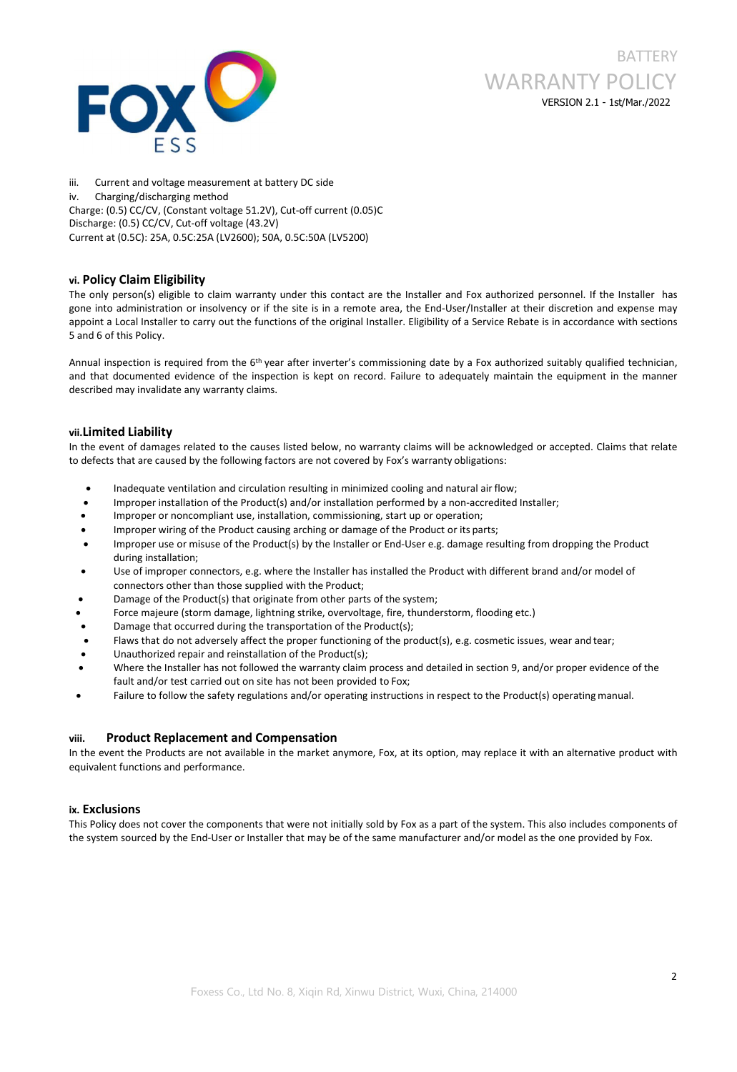

iii. Current and voltage measurement at battery DC side iv. Charging/discharging method Charge: (0.5) CC/CV, (Constant voltage 51.2V), Cut-off current (0.05)C Discharge: (0.5) CC/CV, Cut-off voltage (43.2V) Current at (0.5C): 25A, 0.5C:25A (LV2600); 50A, 0.5C:50A (LV5200)

## **vi. Policy Claim Eligibility**

The only person(s) eligible to claim warranty under this contact are the Installer and Fox authorized personnel. If the Installer has gone into administration or insolvency or ifthe site is in a remote area, the End-User/Installer at their discretion and expense may appoint a Local Installer to carry out the functions of the original Installer. Eligibility of a Service Rebate is in accordance with sections 5 and 6 of this Policy.

Annual inspection is required from the 6<sup>th</sup> year after inverter's commissioning date by a Fox authorized suitably qualified technician, and that documented evidence of the inspection is kept on record. Failure to adequately maintain the equipment in the manner described may invalidate any warranty claims.

## **vii.Limited Liability**

In the event of damages related to the causes listed below, no warranty claims will be acknowledged or accepted. Claims that relate to defects that are caused by the following factors are not covered by Fox's warranty obligations:

- Inadequate ventilation and circulation resulting in minimized cooling and natural airflow;
- Improper installation of the Product(s) and/or installation performed by a non-accredited Installer;
- Improper or noncompliant use, installation, commissioning, start up or operation;
- Improper wiring of the Product causing arching or damage of the Product or its parts;
- Improper use or misuse of the Product(s) by the Installer or End-User e.g. damage resulting from dropping the Product during installation;
- Use of improper connectors, e.g. where the Installer has installed the Product with different brand and/or model of connectors other than those supplied with the Product;
- Damage of the Product(s) that originate from other parts of the system;
- Force majeure (storm damage, lightning strike, overvoltage, fire, thunderstorm, flooding etc.)
- Damage that occurred during the transportation of the Product(s);
- Flaws that do not adversely affect the proper functioning of the product(s), e.g. cosmetic issues, wear and tear;
- Unauthorized repair and reinstallation of the Product(s);
- Where the Installer has not followed the warranty claim process and detailed in section 9, and/or proper evidence of the fault and/or test carried out on site has not been provided to Fox;
- Failure to follow the safety regulations and/or operating instructions in respect to the Product(s) operating manual.

## **viii. Product Replacement and Compensation**

In the event the Products are not available in the market anymore, Fox, at its option, may replace it with an alternative product with equivalent functions and performance.

## **ix. Exclusions**

This Policy does not cover the components that were not initially sold by Fox as a part of the system. This also includes components of the system sourced by the End-User or Installer that may be of the same manufacturer and/or model as the one provided by Fox.